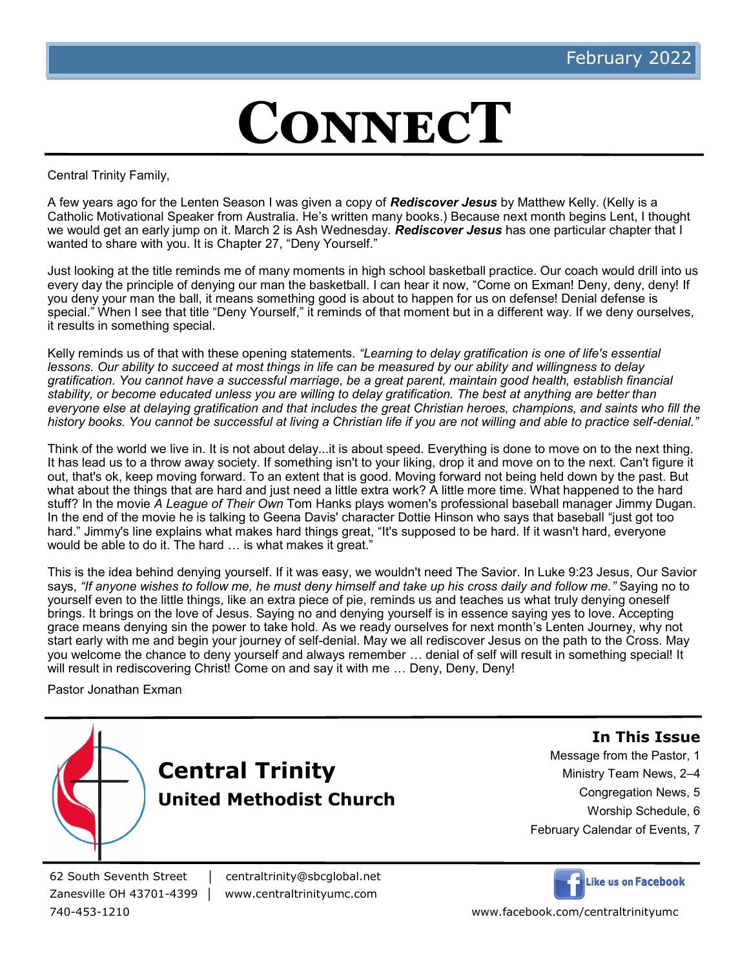# **ConnecT**

Central Trinity Family,

A few years ago for the Lenten Season I was given a copy of *Rediscover Jesus* by Matthew Kelly. (Kelly is a Catholic Motivational Speaker from Australia. He's written many books.) Because next month begins Lent, I thought we would get an early jump on it. March 2 is Ash Wednesday. *Rediscover Jesus* has one particular chapter that I wanted to share with you. It is Chapter 27, "Deny Yourself."

Just looking at the title reminds me of many moments in high school basketball practice. Our coach would drill into us every day the principle of denying our man the basketball. I can hear it now, "Come on Exman! Deny, deny, deny! If you deny your man the ball, it means something good is about to happen for us on defense! Denial defense is special." When I see that title "Deny Yourself," it reminds of that moment but in a different way. If we deny ourselves, it results in something special.

Kelly reminds us of that with these opening statements. *"Learning to delay gratification is one of life's essential lessons. Our ability to succeed at most things in life can be measured by our ability and willingness to delay gratification. You cannot have a successful marriage, be a great parent, maintain good health, establish financial stability, or become educated unless you are willing to delay gratification. The best at anything are better than everyone else at delaying gratification and that includes the great Christian heroes, champions, and saints who fill the history books. You cannot be successful at living a Christian life if you are not willing and able to practice self-denial."*

Think of the world we live in. It is not about delay...it is about speed. Everything is done to move on to the next thing. It has lead us to a throw away society. If something isn't to your liking, drop it and move on to the next. Can't figure it out, that's ok, keep moving forward. To an extent that is good. Moving forward not being held down by the past. But what about the things that are hard and just need a little extra work? A little more time. What happened to the hard stuff? In the movie *A League of Their Own* Tom Hanks plays women's professional baseball manager Jimmy Dugan. In the end of the movie he is talking to Geena Davis' character Dottie Hinson who says that baseball "just got too hard." Jimmy's line explains what makes hard things great, "It's supposed to be hard. If it wasn't hard, everyone would be able to do it. The hard … is what makes it great."

This is the idea behind denying yourself. If it was easy, we wouldn't need The Savior. In Luke 9:23 Jesus, Our Savior says, *"If anyone wishes to follow me, he must deny himself and take up his cross daily and follow me."* Saying no to yourself even to the little things, like an extra piece of pie, reminds us and teaches us what truly denying oneself brings. It brings on the love of Jesus. Saying no and denying yourself is in essence saying yes to love. Accepting grace means denying sin the power to take hold. As we ready ourselves for next month's Lenten Journey, why not start early with me and begin your journey of self-denial. May we all rediscover Jesus on the path to the Cross. May you welcome the chance to deny yourself and always remember … denial of self will result in something special! It will result in rediscovering Christ! Come on and say it with me ... Deny, Deny, Deny!

Pastor Jonathan Exman



62 South Seventh Street │ centraltrinity@sbcglobal.net

Zanesville OH 43701-4399 | www.centraltrinityumc.com



740-453-1210 www.facebook.com/centraltrinityumc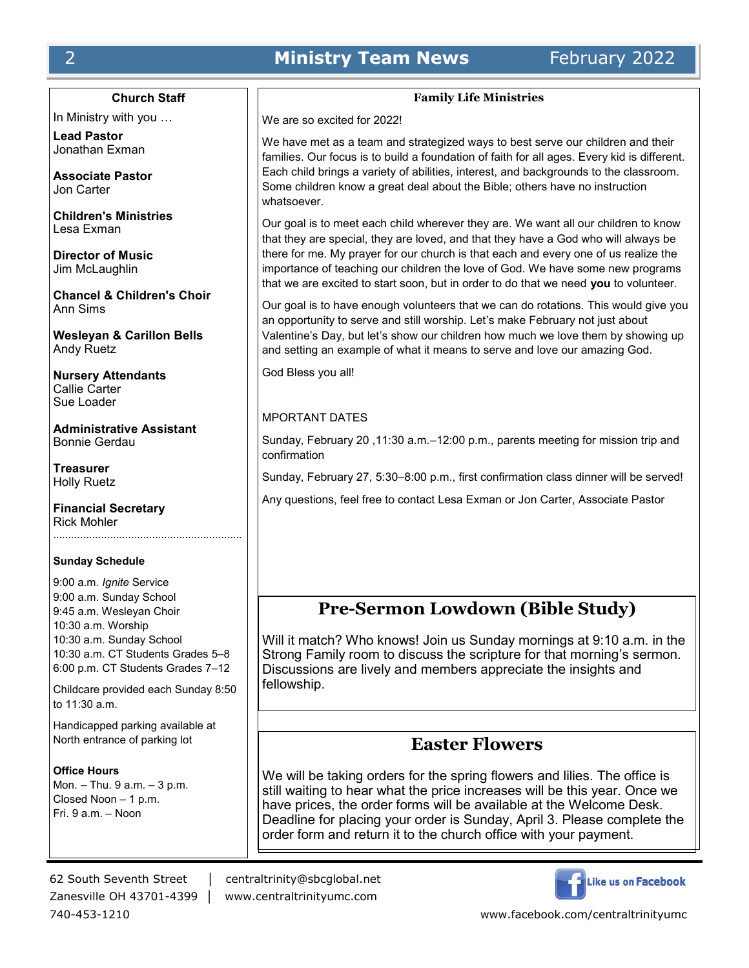# **2 <b>Ministry Team News** February 2022

# **Church Staff**

In Ministry with you …

**Lead Pastor** Jonathan Exman

**Associate Pastor** Jon Carter

**Children's Ministries** Lesa Exman

**Director of Music** Jim McLaughlin

**Chancel & Children's Choir** Ann Sims

**Wesleyan & Carillon Bells** Andy Ruetz

**Nursery Attendants** Callie Carter Sue Loader

**Administrative Assistant** Bonnie Gerdau

**Treasurer** Holly Ruetz

**Financial Secretary** Rick Mohler

#### **Sunday Schedule**

9:00 a.m. *Ignite* Service 9:00 a.m. Sunday School 9:45 a.m. Wesleyan Choir 10:30 a.m. Worship 10:30 a.m. Sunday School 10:30 a.m. CT Students Grades 5–8 6:00 p.m. CT Students Grades 7–12

Childcare provided each Sunday 8:50 to 11:30 a.m.

Handicapped parking available at North entrance of parking lot

**Office Hours** Mon. – Thu. 9 a.m. – 3 p.m. Closed Noon – 1 p.m. Fri. 9 a.m. – Noon

62 South Seventh Street │ centraltrinity@sbcglobal.net Zanesville OH 43701-4399 │ www.centraltrinityumc.com



# **Family Life Ministries**

We are so excited for 2022!

We have met as a team and strategized ways to best serve our children and their families. Our focus is to build a foundation of faith for all ages. Every kid is different. Each child brings a variety of abilities, interest, and backgrounds to the classroom. Some children know a great deal about the Bible; others have no instruction whatsoever.

Our goal is to meet each child wherever they are. We want all our children to know that they are special, they are loved, and that they have a God who will always be there for me. My prayer for our church is that each and every one of us realize the importance of teaching our children the love of God. We have some new programs that we are excited to start soon, but in order to do that we need **you** to volunteer.

Our goal is to have enough volunteers that we can do rotations. This would give you an opportunity to serve and still worship. Let's make February not just about Valentine's Day, but let's show our children how much we love them by showing up and setting an example of what it means to serve and love our amazing God.

God Bless you all!

#### MPORTANT DATES

Sunday, February 20 ,11:30 a.m.–12:00 p.m., parents meeting for mission trip and confirmation

Sunday, February 27, 5:30–8:00 p.m., first confirmation class dinner will be served!

Any questions, feel free to contact Lesa Exman or Jon Carter, Associate Pastor

# **Pre-Sermon Lowdown (Bible Study)**

Will it match? Who knows! Join us Sunday mornings at 9:10 a.m. in the Strong Family room to discuss the scripture for that morning's sermon. Discussions are lively and members appreciate the insights and fellowship.

# **Easter Flowers**

We will be taking orders for the spring flowers and lilies. The office is still waiting to hear what the price increases will be this year. Once we have prices, the order forms will be available at the Welcome Desk. Deadline for placing your order is Sunday, April 3. Please complete the order form and return it to the church office with your payment.

740-453-1210 www.facebook.com/centraltrinityumc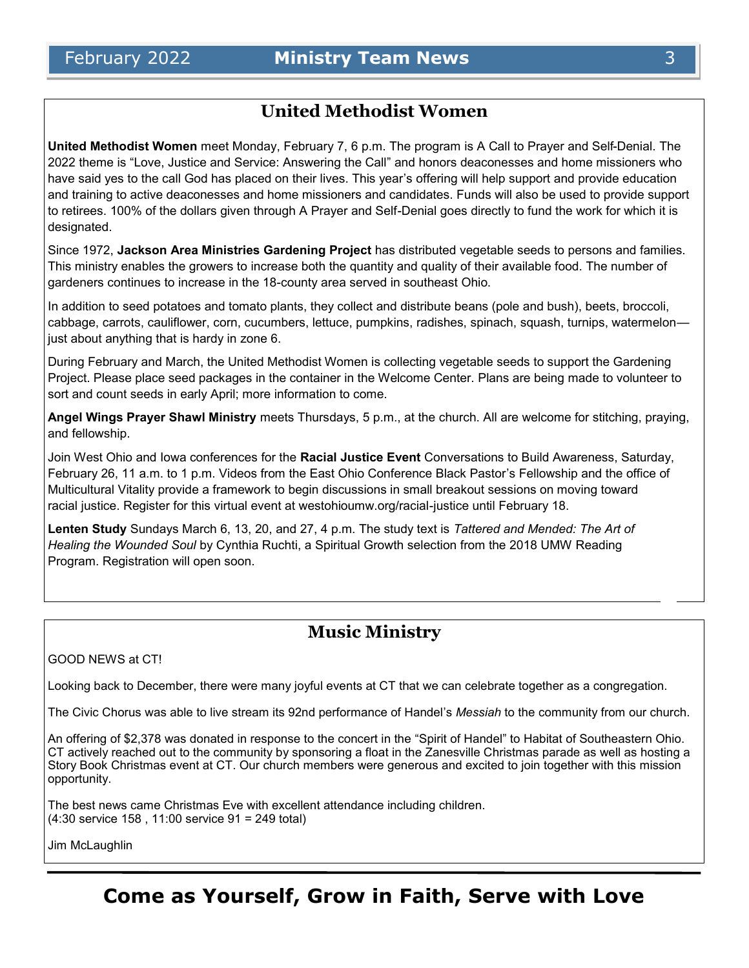# **United Methodist Women**

**United Methodist Women** meet Monday, February 7, 6 p.m. The program is A Call to Prayer and Self-Denial. The 2022 theme is "Love, Justice and Service: Answering the Call" and honors deaconesses and home missioners who have said yes to the call God has placed on their lives. This year's offering will help support and provide education and training to active deaconesses and home missioners and candidates. Funds will also be used to provide support to retirees. 100% of the dollars given through A Prayer and Self-Denial goes directly to fund the work for which it is designated.

Since 1972, **Jackson Area Ministries Gardening Project** has distributed vegetable seeds to persons and families. This ministry enables the growers to increase both the quantity and quality of their available food. The number of gardeners continues to increase in the 18-county area served in southeast Ohio.

In addition to seed potatoes and tomato plants, they collect and distribute beans (pole and bush), beets, broccoli, cabbage, carrots, cauliflower, corn, cucumbers, lettuce, pumpkins, radishes, spinach, squash, turnips, watermelon just about anything that is hardy in zone 6.

During February and March, the United Methodist Women is collecting vegetable seeds to support the Gardening Project. Please place seed packages in the container in the Welcome Center. Plans are being made to volunteer to sort and count seeds in early April; more information to come.

**Angel Wings Prayer Shawl Ministry** meets Thursdays, 5 p.m., at the church. All are welcome for stitching, praying, and fellowship.

Join West Ohio and Iowa conferences for the **Racial Justice Event** Conversations to Build Awareness, Saturday, February 26, 11 a.m. to 1 p.m. Videos from the East Ohio Conference Black Pastor's Fellowship and the office of Multicultural Vitality provide a framework to begin discussions in small breakout sessions on moving toward racial justice. Register for this virtual event at westohioumw.org/racial-justice until February 18.

**Lenten Study** Sundays March 6, 13, 20, and 27, 4 p.m. The study text is *Tattered and Mended: The Art of Healing the Wounded Soul* by Cynthia Ruchti, a Spiritual Growth selection from the 2018 UMW Reading Program. Registration will open soon.

# **Music Ministry**

#### GOOD NEWS at CT!

Looking back to December, there were many joyful events at CT that we can celebrate together as a congregation.

The Civic Chorus was able to live stream its 92nd performance of Handel's *Messiah* to the community from our church.

An offering of \$2,378 was donated in response to the concert in the "Spirit of Handel" to Habitat of Southeastern Ohio. CT actively reached out to the community by sponsoring a float in the Zanesville Christmas parade as well as hosting a Story Book Christmas event at CT. Our church members were generous and excited to join together with this mission opportunity.

The best news came Christmas Eve with excellent attendance including children. (4:30 service 158 , 11:00 service 91 = 249 total)

Jim McLaughlin

# **Come as Yourself, Grow in Faith, Serve with Love**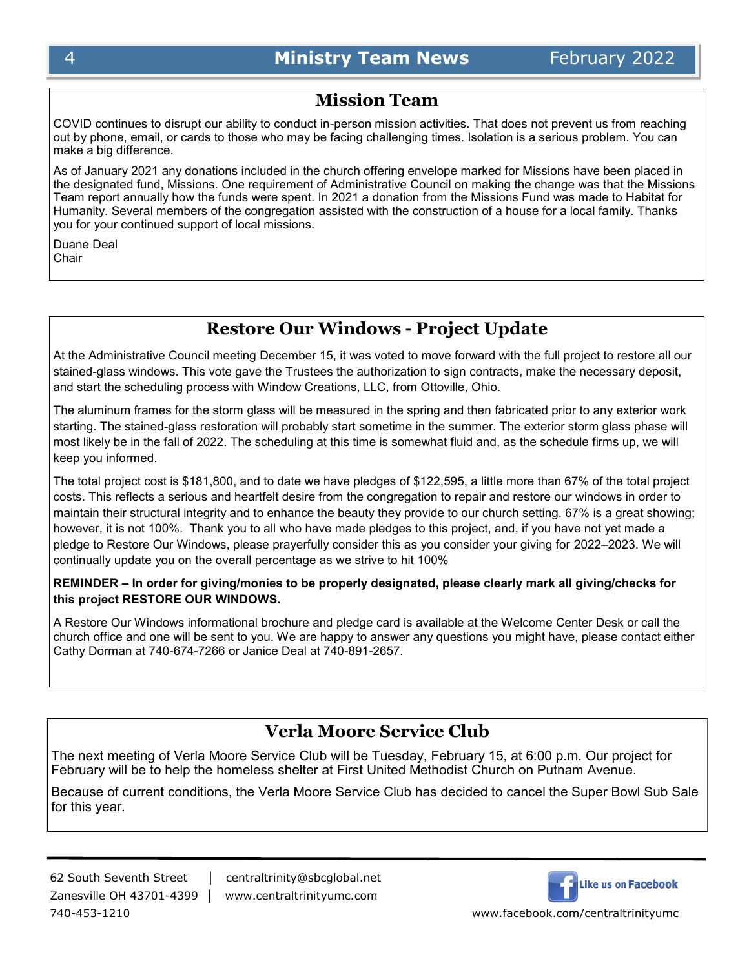# **Mission Team**

COVID continues to disrupt our ability to conduct in-person mission activities. That does not prevent us from reaching out by phone, email, or cards to those who may be facing challenging times. Isolation is a serious problem. You can make a big difference.

As of January 2021 any donations included in the church offering envelope marked for Missions have been placed in the designated fund, Missions. One requirement of Administrative Council on making the change was that the Missions Team report annually how the funds were spent. In 2021 a donation from the Missions Fund was made to Habitat for Humanity. Several members of the congregation assisted with the construction of a house for a local family. Thanks you for your continued support of local missions.

Duane Deal **Chair** 

# **Restore Our Windows - Project Update**

At the Administrative Council meeting December 15, it was voted to move forward with the full project to restore all our stained-glass windows. This vote gave the Trustees the authorization to sign contracts, make the necessary deposit, and start the scheduling process with Window Creations, LLC, from Ottoville, Ohio.

The aluminum frames for the storm glass will be measured in the spring and then fabricated prior to any exterior work starting. The stained-glass restoration will probably start sometime in the summer. The exterior storm glass phase will most likely be in the fall of 2022. The scheduling at this time is somewhat fluid and, as the schedule firms up, we will keep you informed.

The total project cost is \$181,800, and to date we have pledges of \$122,595, a little more than 67% of the total project costs. This reflects a serious and heartfelt desire from the congregation to repair and restore our windows in order to maintain their structural integrity and to enhance the beauty they provide to our church setting. 67% is a great showing; however, it is not 100%. Thank you to all who have made pledges to this project, and, if you have not yet made a pledge to Restore Our Windows, please prayerfully consider this as you consider your giving for 2022–2023. We will continually update you on the overall percentage as we strive to hit 100%

# **REMINDER – In order for giving/monies to be properly designated, please clearly mark all giving/checks for this project RESTORE OUR WINDOWS.**

A Restore Our Windows informational brochure and pledge card is available at the Welcome Center Desk or call the church office and one will be sent to you. We are happy to answer any questions you might have, please contact either Cathy Dorman at 740-674-7266 or Janice Deal at 740-891-2657.

# **Verla Moore Service Club**

The next meeting of Verla Moore Service Club will be Tuesday, February 15, at 6:00 p.m. Our project for February will be to help the homeless shelter at First United Methodist Church on Putnam Avenue.

Because of current conditions, the Verla Moore Service Club has decided to cancel the Super Bowl Sub Sale for this year.

62 South Seventh Street │ centraltrinity@sbcglobal.net Zanesville OH 43701-4399 │ www.centraltrinityumc.com

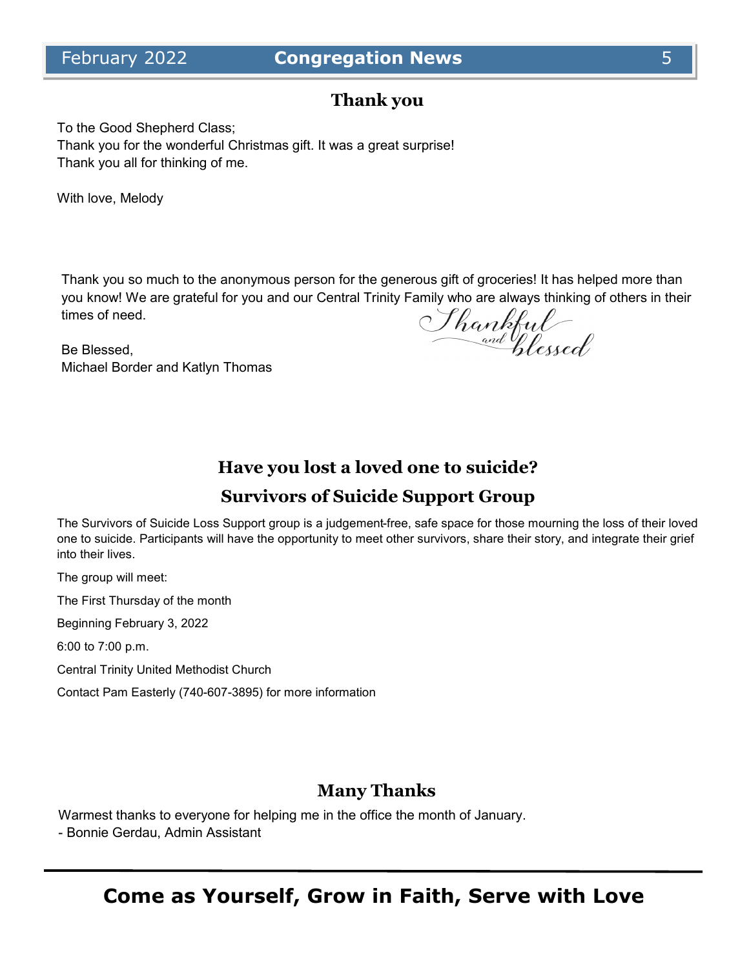# **Thank you**

To the Good Shepherd Class; Thank you for the wonderful Christmas gift. It was a great surprise! Thank you all for thinking of me.

With love, Melody

Thank you so much to the anonymous person for the generous gift of groceries! It has helped more than you know! We are grateful for you and our Central Trinity Family who are always thinking of others in their times of need.

Be Blessed, Michael Border and Katlyn Thomas

Shankful<br>and flexed

# **Have you lost a loved one to suicide?**

# **Survivors of Suicide Support Group**

The Survivors of Suicide Loss Support group is a judgement-free, safe space for those mourning the loss of their loved one to suicide. Participants will have the opportunity to meet other survivors, share their story, and integrate their grief into their lives.

The group will meet:

The First Thursday of the month

Beginning February 3, 2022

6:00 to 7:00 p.m.

Central Trinity United Methodist Church

Contact Pam Easterly (740-607-3895) for more information

# **Many Thanks**

Warmest thanks to everyone for helping me in the office the month of January.

- Bonnie Gerdau, Admin Assistant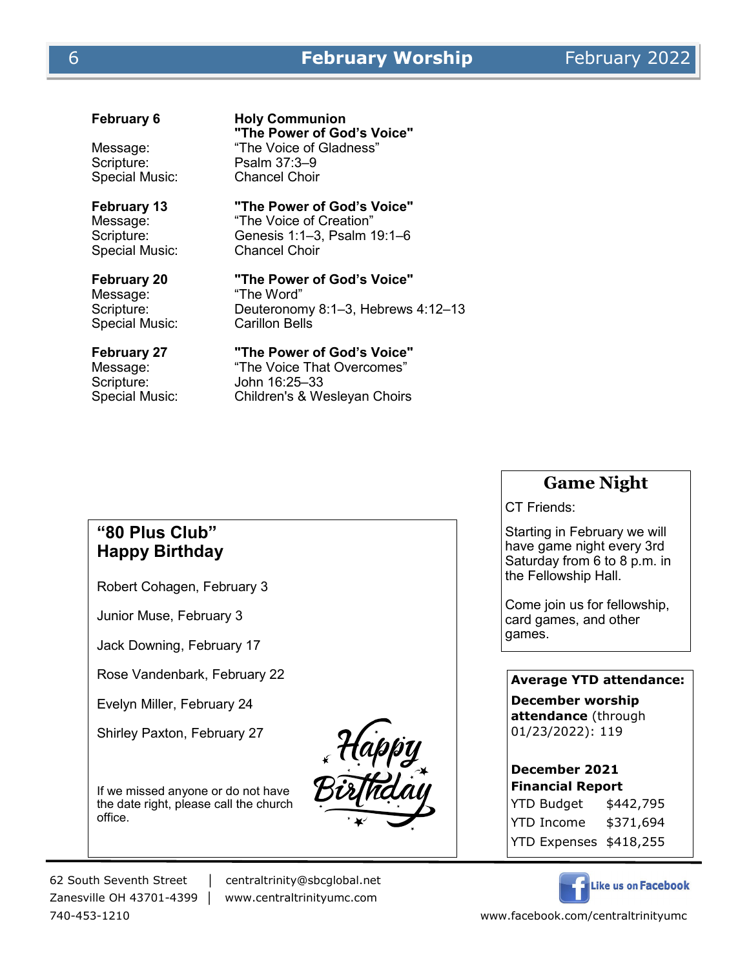Scripture: Psalm 37:3-9 Special Music: Chancel Choir

# **February 6 Holy Communion "The Power of God's Voice"** Message: "The Voice of Gladness"

Special Music:

# **February 13 "The Power of God's Voice"**<br>Message: "The Voice of Creation"

"The Voice of Creation" Scripture: Genesis 1:1–3, Psalm 19:1–6<br>Special Music: Chancel Choir

Message: "The Word" Special Music: Carillon Bells

# **February 20 "The Power of God's Voice"**

Scripture: Deuteronomy 8:1–3, Hebrews 4:12–13

Scripture: John 16:25–33

# **February 27 "The Power of God's Voice"**

Message: "The Voice That Overcomes" Special Music: Children's & Wesleyan Choirs

# **Game Night**

CT Friends:

Starting in February we will have game night every 3rd Saturday from 6 to 8 p.m. in the Fellowship Hall.

Come join us for fellowship, card games, and other games.

# **Average YTD attendance:**

**December worship attendance** (through 01/23/2022): 119

**December 2021 Financial Report** YTD Budget \$442,795 YTD Income \$371,694 YTD Expenses \$418,255

Like us on Facebook

# **"80 Plus Club" Happy Birthday**

Robert Cohagen, February 3

Junior Muse, February 3

Jack Downing, February 17

Rose Vandenbark, February 22

Evelyn Miller, February 24

Shirley Paxton, February 27

If we missed anyone or do not have the date right, please call the church office.



62 South Seventh Street │ centraltrinity@sbcglobal.net

Zanesville OH 43701-4399 │ www.centraltrinityumc.com

740-453-1210 www.facebook.com/centraltrinityumc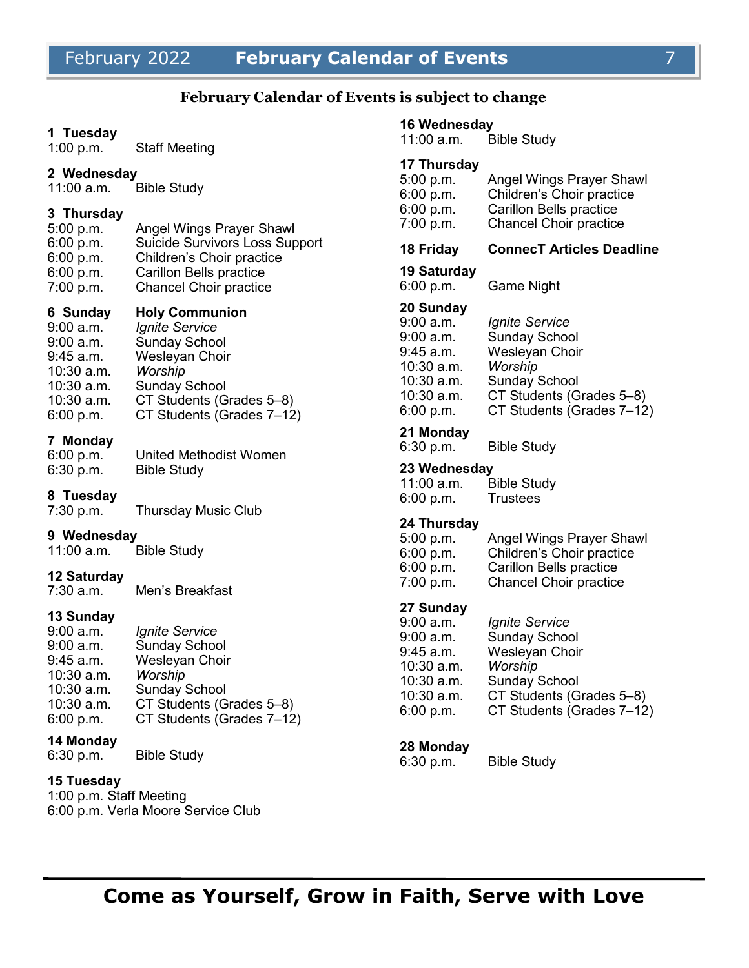## **February Calendar of Events is subject to change**

#### **1 Tuesday**

1:00 p.m. Staff Meeting

# **2 Wednesday**

Bible Study

#### **3 Thursday**

| 5:00 p.m. | Angel Wings Prayer Shawl              |
|-----------|---------------------------------------|
| 6:00 p.m. | <b>Suicide Survivors Loss Support</b> |
| 6:00 p.m. | Children's Choir practice             |
| 6:00 p.m. | Carillon Bells practice               |
| 7:00 p.m. | <b>Chancel Choir practice</b>         |

#### **6 Sunday Holy Communion**

9:00 a.m. *Ignite Service* 9:00 a.m. Sunday School 9:45 a.m. Wesleyan Choir 10:30 a.m. *Worship*  10:30 a.m. Sunday School 10:30 a.m. CT Students (Grades 5–8) 6:00 p.m. CT Students (Grades 7–12)

#### **7 Monday**

6:00 p.m. United Methodist Women 6:30 p.m. Bible Study

#### **8 Tuesday**

7:30 p.m. Thursday Music Club

#### **9 Wednesday**

11:00 a.m. Bible Study

#### **12 Saturday**

7:30 a.m. Men's Breakfast

# **13 Sunday**

| $9:00$ a.m.  | Ignite Service            |
|--------------|---------------------------|
| $9:00$ a.m.  | <b>Sunday School</b>      |
| $9:45$ a.m.  | Wesleyan Choir            |
| 10:30 a.m.   | Worship                   |
| $10:30$ a.m. | <b>Sunday School</b>      |
| $10:30$ a.m. | CT Students (Grades 5-8)  |
| 6:00 p.m.    | CT Students (Grades 7-12) |

#### **14 Monday**

6:30 p.m. Bible Study

# **15 Tuesday**

1:00 p.m. Staff Meeting 6:00 p.m. Verla Moore Service Club

#### **16 Wednesday**

11:00 a.m. Bible Study

# **17 Thursday**

| 5:00 p.m. | Angel Wings Prayer Shawl      |
|-----------|-------------------------------|
| 6:00 p.m. | Children's Choir practice     |
| 6:00 p.m. | Carillon Bells practice       |
| 7:00 p.m. | <b>Chancel Choir practice</b> |
|           |                               |

#### **18 Friday ConnecT Articles Deadline**

#### **19 Saturday**

6:00 p.m. Game Night

#### **20 Sunday**

| 9:00 a.m.  | Ignite Service            |
|------------|---------------------------|
| 9:00 a.m.  | <b>Sunday School</b>      |
| 9:45 a.m.  | Wesleyan Choir            |
| 10:30 a.m. | Worship                   |
| 10:30 a.m. | <b>Sunday School</b>      |
| 10:30 a.m. | CT Students (Grades 5-8)  |
| 6:00 p.m.  | CT Students (Grades 7-12) |

#### **21 Monday**

6:30 p.m. Bible Study

# **23 Wednesday**

| 11:00 a.m. | <b>Bible Study</b> |
|------------|--------------------|
| 6:00 p.m.  | <b>Trustees</b>    |

#### **24 Thursday**

| Angel Wings Prayer Shawl       |
|--------------------------------|
| Children's Choir practice      |
| <b>Carillon Bells practice</b> |
| <b>Chancel Choir practice</b>  |
|                                |

# **27 Sunday**

| 9:00 a.m.  | <b>Ignite Service</b>     |
|------------|---------------------------|
| 9:00 a.m.  | <b>Sunday School</b>      |
| 9:45 a.m.  | Wesleyan Choir            |
| 10:30 a.m. | Worship                   |
| 10:30 a.m. | <b>Sunday School</b>      |
| 10:30 a.m. | CT Students (Grades 5-8)  |
| 6:00 p.m.  | CT Students (Grades 7-12) |
|            |                           |

#### **28 Monday**

6:30 p.m. Bible Study